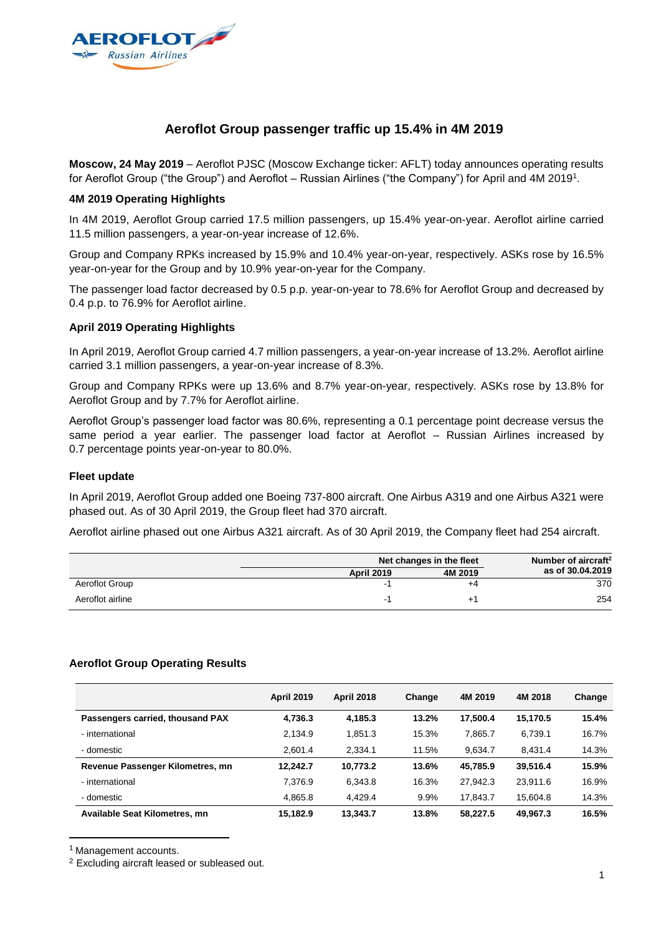

## **Aeroflot Group passenger traffic up 15.4% in 4M 2019**

**Moscow, 24 May 2019** – Aeroflot PJSC (Moscow Exchange ticker: AFLT) today announces operating results for Aeroflot Group ("the Group") and Aeroflot – Russian Airlines ("the Company") for April and 4M 2019 1 .

## **4M 2019 Operating Highlights**

In 4M 2019, Aeroflot Group carried 17.5 million passengers, up 15.4% year-on-year. Aeroflot airline carried 11.5 million passengers, a year-on-year increase of 12.6%.

Group and Company RPKs increased by 15.9% and 10.4% year-on-year, respectively. ASKs rose by 16.5% year-on-year for the Group and by 10.9% year-on-year for the Company.

The passenger load factor decreased by 0.5 p.p. year-on-year to 78.6% for Aeroflot Group and decreased by 0.4 p.p. to 76.9% for Aeroflot airline.

### **April 2019 Operating Highlights**

In April 2019, Aeroflot Group carried 4.7 million passengers, a year-on-year increase of 13.2%. Aeroflot airline carried 3.1 million passengers, a year-on-year increase of 8.3%.

Group and Company RPKs were up 13.6% and 8.7% year-on-year, respectively. ASKs rose by 13.8% for Aeroflot Group and by 7.7% for Aeroflot airline.

Aeroflot Group's passenger load factor was 80.6%, representing a 0.1 percentage point decrease versus the same period a year earlier. The passenger load factor at Aeroflot – Russian Airlines increased by 0.7 percentage points year-on-year to 80.0%.

#### **Fleet update**

In April 2019, Aeroflot Group added one Boeing 737-800 aircraft. One Airbus A319 and one Airbus A321 were phased out. As of 30 April 2019, the Group fleet had 370 aircraft.

Aeroflot airline phased out one Airbus A321 aircraft. As of 30 April 2019, the Company fleet had 254 aircraft.

|                  |                   | Net changes in the fleet |                  |  |
|------------------|-------------------|--------------------------|------------------|--|
|                  | <b>April 2019</b> | 4M 2019                  | as of 30.04.2019 |  |
| Aeroflot Group   | - 1               | +4                       | 370              |  |
| Aeroflot airline | - 1               |                          | 254              |  |

#### **Aeroflot Group Operating Results**

|                                      | <b>April 2019</b> | <b>April 2018</b> | Change | 4M 2019  | 4M 2018  | Change |
|--------------------------------------|-------------------|-------------------|--------|----------|----------|--------|
| Passengers carried, thousand PAX     | 4,736.3           | 4,185.3           | 13.2%  | 17.500.4 | 15,170.5 | 15.4%  |
| - international                      | 2.134.9           | 1.851.3           | 15.3%  | 7,865.7  | 6,739.1  | 16.7%  |
| - domestic                           | 2.601.4           | 2.334.1           | 11.5%  | 9.634.7  | 8.431.4  | 14.3%  |
| Revenue Passenger Kilometres, mn     | 12.242.7          | 10,773.2          | 13.6%  | 45,785.9 | 39,516.4 | 15.9%  |
| - international                      | 7.376.9           | 6.343.8           | 16.3%  | 27,942.3 | 23.911.6 | 16.9%  |
| - domestic                           | 4.865.8           | 4.429.4           | 9.9%   | 17,843.7 | 15.604.8 | 14.3%  |
| <b>Available Seat Kilometres, mn</b> | 15.182.9          | 13.343.7          | 13.8%  | 58.227.5 | 49.967.3 | 16.5%  |

<sup>1</sup> Management accounts.

l

<sup>2</sup> Excluding aircraft leased or subleased out.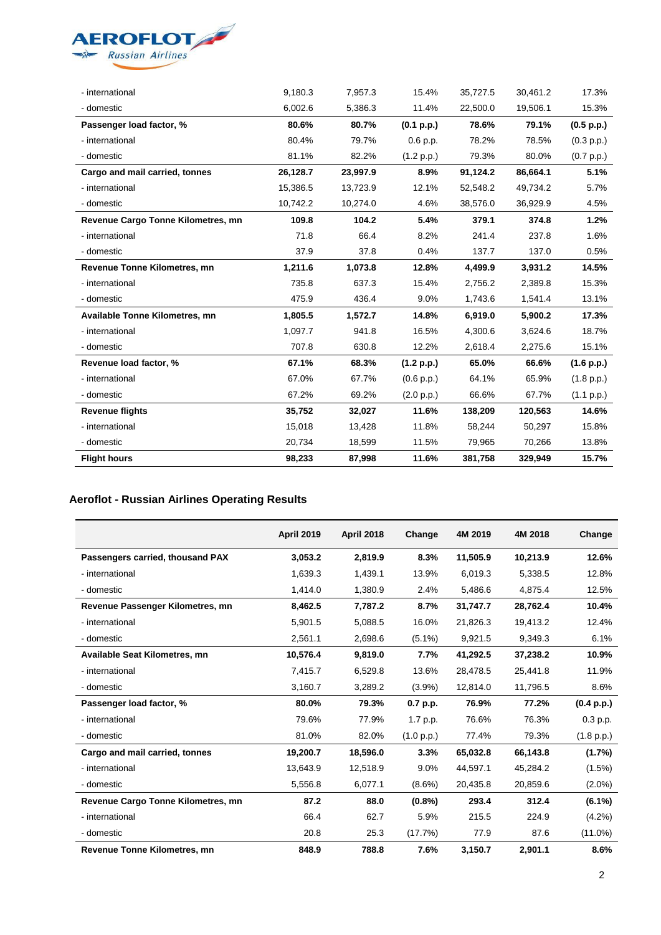

| - international                       | 9,180.3  | 7,957.3  | 15.4%      | 35,727.5 | 30,461.2 | 17.3%      |
|---------------------------------------|----------|----------|------------|----------|----------|------------|
| - domestic                            | 6,002.6  | 5,386.3  | 11.4%      | 22,500.0 | 19,506.1 | 15.3%      |
| Passenger load factor, %              | 80.6%    | 80.7%    | (0.1 p.p.) | 78.6%    | 79.1%    | (0.5 p.p.) |
| - international                       | 80.4%    | 79.7%    | 0.6 p.p.   | 78.2%    | 78.5%    | (0.3 p.p.) |
| - domestic                            | 81.1%    | 82.2%    | (1.2 p.p.) | 79.3%    | 80.0%    | (0.7 p.p.) |
| Cargo and mail carried, tonnes        | 26,128.7 | 23,997.9 | 8.9%       | 91,124.2 | 86,664.1 | 5.1%       |
| - international                       | 15,386.5 | 13,723.9 | 12.1%      | 52,548.2 | 49,734.2 | 5.7%       |
| - domestic                            | 10,742.2 | 10,274.0 | 4.6%       | 38,576.0 | 36,929.9 | 4.5%       |
| Revenue Cargo Tonne Kilometres, mn    | 109.8    | 104.2    | 5.4%       | 379.1    | 374.8    | 1.2%       |
| - international                       | 71.8     | 66.4     | 8.2%       | 241.4    | 237.8    | 1.6%       |
| - domestic                            | 37.9     | 37.8     | 0.4%       | 137.7    | 137.0    | 0.5%       |
| <b>Revenue Tonne Kilometres, mn</b>   | 1,211.6  | 1,073.8  | 12.8%      | 4,499.9  | 3,931.2  | 14.5%      |
| - international                       | 735.8    | 637.3    | 15.4%      | 2,756.2  | 2,389.8  | 15.3%      |
| - domestic                            | 475.9    | 436.4    | 9.0%       | 1,743.6  | 1,541.4  | 13.1%      |
| <b>Available Tonne Kilometres, mn</b> | 1,805.5  | 1,572.7  | 14.8%      | 6,919.0  | 5,900.2  | 17.3%      |
| - international                       | 1,097.7  | 941.8    | 16.5%      | 4,300.6  | 3,624.6  | 18.7%      |
| - domestic                            | 707.8    | 630.8    | 12.2%      | 2,618.4  | 2,275.6  | 15.1%      |
| Revenue load factor, %                | 67.1%    | 68.3%    | (1.2 p.p.) | 65.0%    | 66.6%    | (1.6 p.p.) |
| - international                       | 67.0%    | 67.7%    | (0.6 p.p.) | 64.1%    | 65.9%    | (1.8 p.p.) |
| - domestic                            | 67.2%    | 69.2%    | (2.0 p.p.) | 66.6%    | 67.7%    | (1.1 p.p.) |
| <b>Revenue flights</b>                | 35,752   | 32,027   | 11.6%      | 138,209  | 120,563  | 14.6%      |
| - international                       | 15,018   | 13,428   | 11.8%      | 58,244   | 50,297   | 15.8%      |
| - domestic                            | 20,734   | 18,599   | 11.5%      | 79,965   | 70,266   | 13.8%      |
| <b>Flight hours</b>                   | 98,233   | 87,998   | 11.6%      | 381,758  | 329,949  | 15.7%      |

# **Aeroflot - Russian Airlines Operating Results**

|                                     | <b>April 2019</b> | <b>April 2018</b> | Change     | 4M 2019  | 4M 2018  | Change     |
|-------------------------------------|-------------------|-------------------|------------|----------|----------|------------|
| Passengers carried, thousand PAX    | 3,053.2           | 2,819.9           | 8.3%       | 11,505.9 | 10,213.9 | 12.6%      |
| - international                     | 1.639.3           | 1,439.1           | 13.9%      | 6,019.3  | 5.338.5  | 12.8%      |
| - domestic                          | 1,414.0           | 1,380.9           | 2.4%       | 5,486.6  | 4,875.4  | 12.5%      |
| Revenue Passenger Kilometres, mn    | 8,462.5           | 7,787.2           | 8.7%       | 31,747.7 | 28,762.4 | 10.4%      |
| - international                     | 5,901.5           | 5,088.5           | 16.0%      | 21,826.3 | 19.413.2 | 12.4%      |
| - domestic                          | 2,561.1           | 2,698.6           | $(5.1\%)$  | 9,921.5  | 9,349.3  | 6.1%       |
| Available Seat Kilometres, mn       | 10,576.4          | 9.819.0           | 7.7%       | 41,292.5 | 37,238.2 | 10.9%      |
| - international                     | 7,415.7           | 6,529.8           | 13.6%      | 28,478.5 | 25,441.8 | 11.9%      |
| - domestic                          | 3,160.7           | 3,289.2           | $(3.9\%)$  | 12,814.0 | 11,796.5 | 8.6%       |
| Passenger load factor, %            | 80.0%             | 79.3%             | 0.7 p.p.   | 76.9%    | 77.2%    | (0.4 p.p.) |
| - international                     | 79.6%             | 77.9%             | 1.7 p.p.   | 76.6%    | 76.3%    | 0.3 p.p.   |
| - domestic                          | 81.0%             | 82.0%             | (1.0 p.p.) | 77.4%    | 79.3%    | (1.8 p.p.) |
| Cargo and mail carried, tonnes      | 19,200.7          | 18,596.0          | 3.3%       | 65,032.8 | 66,143.8 | (1.7%)     |
| - international                     | 13,643.9          | 12,518.9          | 9.0%       | 44,597.1 | 45,284.2 | $(1.5\%)$  |
| - domestic                          | 5,556.8           | 6,077.1           | $(8.6\%)$  | 20,435.8 | 20,859.6 | $(2.0\%)$  |
| Revenue Cargo Tonne Kilometres, mn  | 87.2              | 88.0              | $(0.8\%)$  | 293.4    | 312.4    | $(6.1\%)$  |
| - international                     | 66.4              | 62.7              | 5.9%       | 215.5    | 224.9    | $(4.2\%)$  |
| - domestic                          | 20.8              | 25.3              | (17.7%)    | 77.9     | 87.6     | $(11.0\%)$ |
| <b>Revenue Tonne Kilometres, mn</b> | 848.9             | 788.8             | 7.6%       | 3,150.7  | 2,901.1  | 8.6%       |